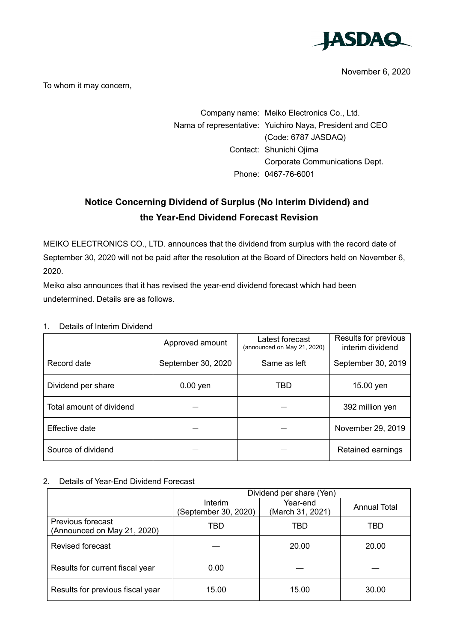

November 6, 2020

To whom it may concern,

Company name: Meiko Electronics Co., Ltd. Nama of representative: Yuichiro Naya, President and CEO (Code: 6787 JASDAQ) Contact: Shunichi Ojima Corporate Communications Dept. Phone: 0467-76-6001

## **Notice Concerning Dividend of Surplus (No Interim Dividend) and the Year-End Dividend Forecast Revision**

MEIKO ELECTRONICS CO., LTD. announces that the dividend from surplus with the record date of September 30, 2020 will not be paid after the resolution at the Board of Directors held on November 6, 2020.

Meiko also announces that it has revised the year-end dividend forecast which had been undetermined. Details are as follows.

|                          | Approved amount    | Latest forecast<br>(announced on May 21, 2020) | Results for previous<br>interim dividend |
|--------------------------|--------------------|------------------------------------------------|------------------------------------------|
| Record date              | September 30, 2020 | Same as left                                   | September 30, 2019                       |
| Dividend per share       | $0.00$ yen         | TBD                                            | 15.00 yen                                |
| Total amount of dividend |                    |                                                | 392 million yen                          |
| Effective date           |                    |                                                | November 29, 2019                        |
| Source of dividend       |                    |                                                | Retained earnings                        |

## 1. Details of Interim Dividend

## 2. Details of Year-End Dividend Forecast

|                                                         | Dividend per share (Yen)        |                              |              |
|---------------------------------------------------------|---------------------------------|------------------------------|--------------|
|                                                         | Interim<br>(September 30, 2020) | Year-end<br>(March 31, 2021) | Annual Total |
| <b>Previous forecast</b><br>(Announced on May 21, 2020) | TBD                             | TBD                          | TBD          |
| <b>Revised forecast</b>                                 |                                 | 20.00                        | 20.00        |
| Results for current fiscal year                         | 0.00                            |                              |              |
| Results for previous fiscal year                        | 15.00                           | 15.00                        | 30.00        |